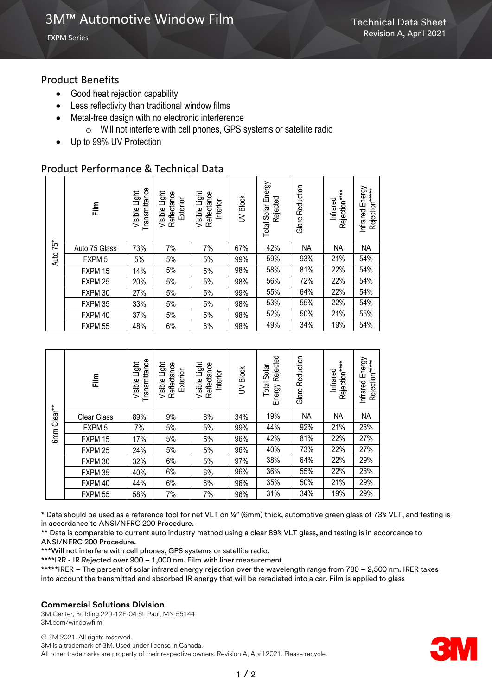FXPM Series

## Product Benefits

- Good heat rejection capability
- Less reflectivity than traditional window films
- Metal-free design with no electronic interference
	- o Will not interfere with cell phones, GPS systems or satellite radio
- Up to 99% UV Protection

# Product Performance & Technical Data

| Auto 75* | 틅                 | Transmittance<br>Visible Light | Visible Light<br>Reflectance<br>Exterior | Visible Light<br>Reflectance<br>Interior | UV<br>Block | Energy<br>Rejected<br>Solar<br>Total | Reduction<br>Glare | Rejection****<br>Infrared | Infrared Energy<br>Rejection*****<br>Infrared |
|----------|-------------------|--------------------------------|------------------------------------------|------------------------------------------|-------------|--------------------------------------|--------------------|---------------------------|-----------------------------------------------|
|          | Auto 75 Glass     | 73%                            | 7%                                       | 7%                                       | 67%         | 42%                                  | <b>NA</b>          | NA                        | NA                                            |
|          | FXPM <sub>5</sub> | 5%                             | 5%                                       | 5%                                       | 99%         | 59%                                  | 93%                | 21%                       | 54%                                           |
|          | FXPM 15           | 14%                            | 5%                                       | 5%                                       | 98%         | 58%                                  | 81%                | 22%                       | 54%                                           |
|          | FXPM 25           | 20%                            | 5%                                       | 5%                                       | 98%         | 56%                                  | 72%                | 22%                       | 54%                                           |
|          | FXPM 30           | 27%                            | 5%                                       | 5%                                       | 99%         | 55%                                  | 64%                | 22%                       | 54%                                           |
|          | FXPM 35           | 33%                            | 5%                                       | 5%                                       | 98%         | 53%                                  | 55%                | 22%                       | 54%                                           |
|          | FXPM 40           | 37%                            | 5%                                       | 5%                                       | 98%         | 52%                                  | 50%                | 21%                       | 55%                                           |
|          | FXPM 55           | 48%                            | 6%                                       | 6%                                       | 98%         | 49%                                  | 34%                | 19%                       | 54%                                           |

| 6mm Clear** | $\frac{m}{2}$      | Transmittance<br>Visible Light | Visible Light<br>Reflectance<br>Exterior | Visible Light<br>Reflectance<br>Interior | <b>Block</b><br>$\geq$ | Rejected<br>Solar<br>Total<br>Energy | Reduction<br>Glare | Rejection****<br>Infrared | Infrared Energy<br>Rejection***** |
|-------------|--------------------|--------------------------------|------------------------------------------|------------------------------------------|------------------------|--------------------------------------|--------------------|---------------------------|-----------------------------------|
|             | <b>Clear Glass</b> | 89%                            | 9%                                       | 8%                                       | 34%                    | 19%                                  | <b>NA</b>          | <b>NA</b>                 | <b>NA</b>                         |
|             | FXPM <sub>5</sub>  | 7%                             | 5%                                       | 5%                                       | 99%                    | 44%                                  | 92%                | 21%                       | 28%                               |
|             | FXPM 15            | 17%                            | 5%                                       | 5%                                       | 96%                    | 42%                                  | 81%                | 22%                       | 27%                               |
|             | FXPM 25            | 24%                            | 5%                                       | 5%                                       | 96%                    | 40%                                  | 73%                | 22%                       | 27%                               |
|             | FXPM 30            | 32%                            | 6%                                       | 5%                                       | 97%                    | 38%                                  | 64%                | 22%                       | 29%                               |
|             | FXPM 35            | 40%                            | 6%                                       | 6%                                       | 96%                    | 36%                                  | 55%                | 22%                       | 28%                               |
|             | FXPM 40            | 44%                            | 6%                                       | 6%                                       | 96%                    | 35%                                  | 50%                | 21%                       | 29%                               |
|             | FXPM 55            | 58%                            | 7%                                       | 7%                                       | 96%                    | 31%                                  | 34%                | 19%                       | 29%                               |

\* Data should be used as a reference tool for net VLT on ¼" (6mm) thick, automotive green glass of 73% VLT, and testing is in accordance to ANSI/NFRC 200 Procedure.

\*\* Data is comparable to current auto industry method using a clear 89% VLT glass, and testing is in accordance to ANSI/NFRC 200 Procedure.

\*\*\*Will not interfere with cell phones, GPS systems or satellite radio.

\*\*\*\*IRR - IR Rejected over 900 – 1,000 nm. Film with liner measurement

\*\*\*\*\*IRER – The percent of solar infrared energy rejection over the wavelength range from 780 – 2,500 nm. IRER takes into account the transmitted and absorbed IR energy that will be reradiated into a car. Film is applied to glass

#### **Commercial Solutions Division**

3M Center, Building 220-12E-04 St. Paul, MN 55144 3M.com/windowfilm

© 3M 2021. All rights reserved. 3M is a trademark of 3M. Used under license in Canada. All other trademarks are property of their respective owners. Revision A, April 2021. Please recycle.